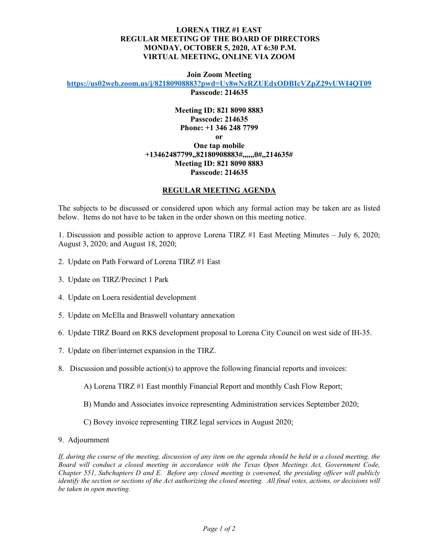## **LORENA TIRZ #1 EAST REGULAR MEETING OF THE BOARD OF DIRECTORS MONDAY, OCTOBER 5, 2020, AT 6:30 P.M. VIRTUAL MEETING, ONLINE VIA ZOOM**

**Join Zoom Meeting**

**<https://us02web.zoom.us/j/82180908883?pwd=Uy8wNzRZUEdxODBIcVZpZ29yUWI4QT09>**

**Passcode: 214635**

## **Meeting ID: 821 8090 8883 Passcode: 214635 Phone: +1 346 248 7799 or One tap mobile +13462487799,,82180908883#,,,,,,0#,,214635# Meeting ID: 821 8090 8883 Passcode: 214635**

## **REGULAR MEETING AGENDA**

The subjects to be discussed or considered upon which any formal action may be taken are as listed below. Items do not have to be taken in the order shown on this meeting notice.

1. Discussion and possible action to approve Lorena TIRZ #1 East Meeting Minutes – July 6, 2020; August 3, 2020; and August 18, 2020;

- 2. Update on Path Forward of Lorena TIRZ #1 East
- 3. Update on TIRZ/Precinct 1 Park
- 4. Update on Loera residential development
- 5. Update on McElla and Braswell voluntary annexation
- 6. Update TIRZ Board on RKS development proposal to Lorena City Council on west side of IH-35.
- 7. Update on fiber/internet expansion in the TIRZ.
- 8. Discussion and possible action(s) to approve the following financial reports and invoices:

A) Lorena TIRZ #1 East monthly Financial Report and monthly Cash Flow Report;

- B) Mundo and Associates invoice representing Administration services September 2020;
- C) Bovey invoice representing TIRZ legal services in August 2020;
- 9. Adjournment

*If, during the course of the meeting, discussion of any item on the agenda should be held in a closed meeting, the Board will conduct a closed meeting in accordance with the Texas Open Meetings Act, Government Code, Chapter 551, Subchapters D and E. Before any closed meeting is convened, the presiding officer will publicly identify the section or sections of the Act authorizing the closed meeting. All final votes, actions, or decisions will be taken in open meeting.*